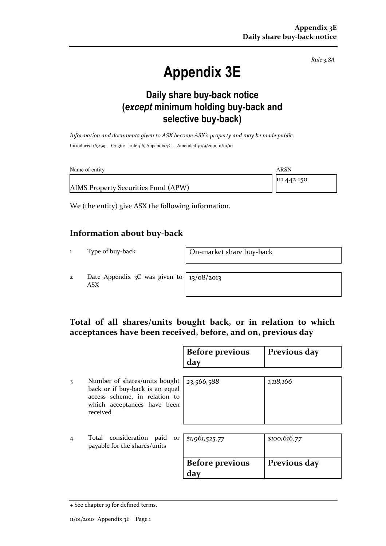Rule 3.8A

# Appendix 3E

### Daily share buy-back notice (except minimum holding buy-back and selective buy-back)

Information and documents given to ASX become ASX's property and may be made public. Introduced 1/9/99. Origin: rule 3.6, Appendix 7C. Amended 30/9/2001, 11/01/10

| Name of entity                      | ARSN        |
|-------------------------------------|-------------|
|                                     | 111 442 150 |
| AIMS Property Securities Fund (APW) |             |

We (the entity) give ASX the following information.

#### Information about buy-back

1 Type of buy-back On-market share buy-back

2 Date Appendix 3C was given to ASX

13/08/2013

#### Total of all shares/units bought back, or in relation to which acceptances have been received, before, and on, previous day

|   |                                                                                                                                              | <b>Before previous</b><br>day | Previous day  |
|---|----------------------------------------------------------------------------------------------------------------------------------------------|-------------------------------|---------------|
| 3 | Number of shares/units bought<br>back or if buy-back is an equal<br>access scheme, in relation to<br>which acceptances have been<br>received | 23,566,588                    | 1,118,166     |
| 4 | Total consideration paid<br>payable for the shares/units                                                                                     | or \$1,961,525.77             | \$100, 616.77 |
|   |                                                                                                                                              | <b>Before previous</b><br>day | Previous day  |

<sup>+</sup> See chapter 19 for defined terms.